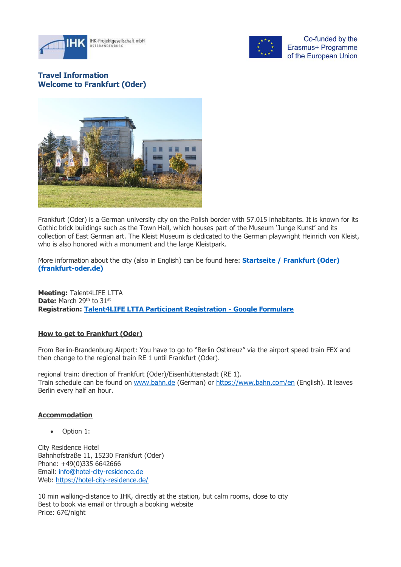



Co-funded by the Erasmus+ Programme of the European Union

# **Travel Information Welcome to Frankfurt (Oder)**



Frankfurt (Oder) is a German university city on the Polish border with 57.015 inhabitants. It is known for its Gothic brick buildings such as the Town Hall, which houses part of the Museum 'Junge Kunst' and its collection of East German art. The Kleist Museum is dedicated to the German playwright Heinrich von Kleist, who is also honored with a monument and the large Kleistpark.

More information about the city (also in English) can be found here: **[Startseite / Frankfurt \(Oder\)](https://www.frankfurt-oder.de/)  [\(frankfurt-oder.de\)](https://www.frankfurt-oder.de/)**

**Meeting:** Talent4LIFE LTTA **Date:** March 29<sup>th</sup> to 31<sup>st</sup> **Registration: [Talent4LIFE LTTA Participant Registration -](https://docs.google.com/forms/d/1ahfxD34M6WVhBQ0f4wsBukxYspAZfHXwvDIJT78shdw/edit) Google Formulare**

## **How to get to Frankfurt (Oder)**

From Berlin-Brandenburg Airport: You have to go to "Berlin Ostkreuz" via the airport speed train FEX and then change to the regional train RE 1 until Frankfurt (Oder).

regional train: direction of Frankfurt (Oder)/Eisenhüttenstadt (RE 1). Train schedule can be found on [www.bahn.de](http://www.bahn.de/) (German) or<https://www.bahn.com/en> (English). It leaves Berlin every half an hour.

### **Accommodation**

• Option 1:

City Residence Hotel Bahnhofstraße 11, 15230 Frankfurt (Oder) Phone: +49(0)335 6642666 Email: [info@hotel-city-residence.de](mailto:info@hotel-city-residence.de) Web:<https://hotel-city-residence.de/>

10 min walking-distance to IHK, directly at the station, but calm rooms, close to city Best to book via email or through a booking website Price: 67€/night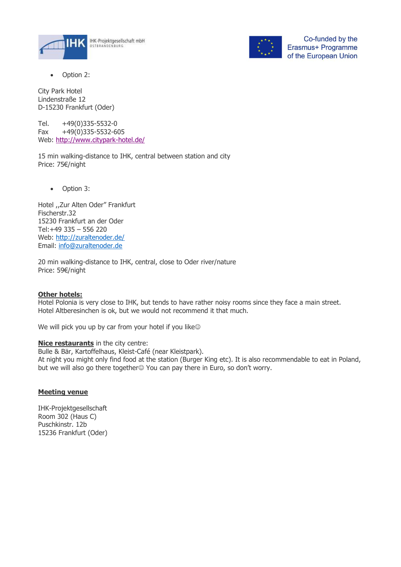



Co-funded by the Erasmus+ Programme of the European Union

Option 2:

City Park Hotel Lindenstraße 12 D-15230 Frankfurt (Oder)

Tel. +49(0)335-5532-0 Fax +49(0)335-5532-605 Web:<http://www.citypark-hotel.de/>

15 min walking-distance to IHK, central between station and city Price: 75€/night

• Option 3:

Hotel ,,Zur Alten Oder" Frankfurt Fischerstr.32 15230 Frankfurt an der Oder Tel:+49 335 – 556 220 Web:<http://zuraltenoder.de/> Email: [info@zuraltenoder.de](mailto:info@zuraltenoder.de)

20 min walking-distance to IHK, central, close to Oder river/nature Price: 59€/night

### **Other hotels:**

Hotel Polonia is very close to IHK, but tends to have rather noisy rooms since they face a main street. Hotel Altberesinchen is ok, but we would not recommend it that much.

We will pick you up by car from your hotel if you like

**Nice restaurants** in the city centre:

Bulle & Bär, Kartoffelhaus, Kleist-Café (near Kleistpark).

At night you might only find food at the station (Burger King etc). It is also recommendable to eat in Poland, but we will also go there together☺ You can pay there in Euro, so don't worry.

## **Meeting venue**

IHK-Projektgesellschaft Room 302 (Haus C) Puschkinstr. 12b 15236 Frankfurt (Oder)